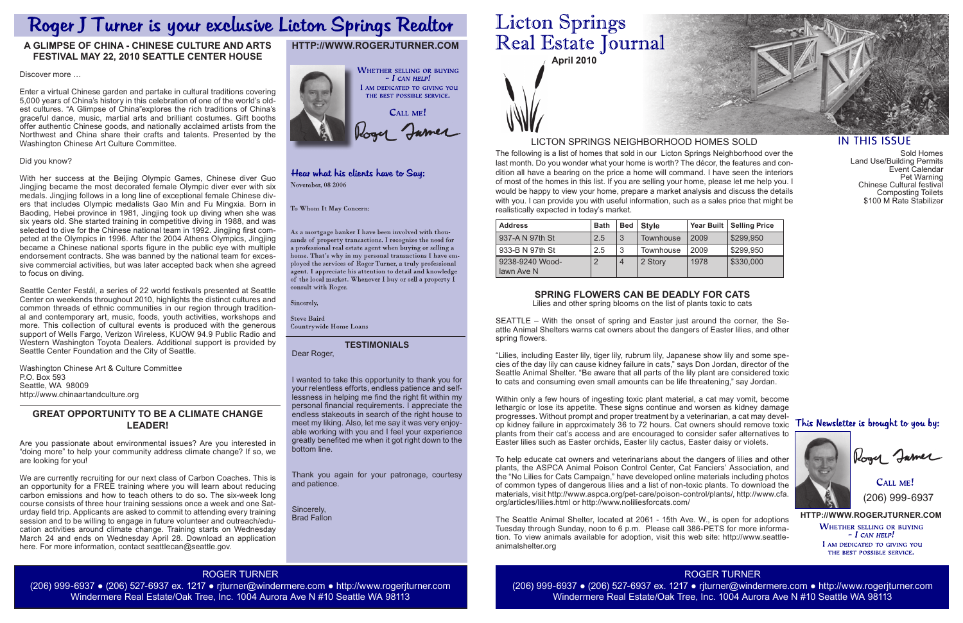**April 2010**

The following is a list of homes that sold in our Licton Springs Neighborhood over the last month. Do you wonder what your home is worth? The décor, the features and condition all have a bearing on the price a home will command. I have seen the interiors of most of the homes in this list. If you are selling your home, please let me help you. I would be happy to view your home, prepare a market analysis and discuss the details with you. I can provide you with useful information, such as a sales price that might be realistically expected in today's market.

> **HTTP://WWW.ROGERJTURNER.COM WHETHER SELLING OR BUYING**  $-$  I can help! I AM DEDICATED TO GIVING YOU THE BEST POSSIBLE SERVICE.

**CALL ME!** (206) 999-6937

## LICTON SPRINGS NEIGHBORHOOD HOMES SOLD

## **HTTP://WWW.ROGERJTURNER.COM**



## Hear what his clients have to Say: November, 08 2006

To Whom It May Concern:

As a mortgage banker I have been involved with thousands of property transactions. I recognize the need for a professional real estate agent when buying or selling a home. That's why in my personal transactions I have employed the services of Roger Turner, a truly professional agent. I appreciate his attention to detail and knowledge of the local market. Whenever I buy or sell a property  $\check{\mathrm{I}}$ consult with Roger.

Sincerely,

**Steve Baird** Countrywide Home Loans

| <b>Address</b>                | <b>Bath</b>   | <b>Bed</b>     | <b>Style</b>     |      | Year Built   Selling Price |
|-------------------------------|---------------|----------------|------------------|------|----------------------------|
| 937-A N 97th St               | 2.5           | 3              | Townhouse        | 2009 | \$299,950                  |
| l 933-B N 97th St             | 2.5           | -3             | <b>Townhouse</b> | 2009 | \$299,950                  |
| 9238-9240 Wood-<br>lawn Ave N | $\mathcal{P}$ | $\overline{4}$ | 2 Story          | 1978 | \$330,000                  |

### **TESTIMONIALS**

Dear Roger,

I wanted to take this opportunity to thank you for your relentless efforts, endless patience and selflessness in helping me find the right fit within my personal financial requirements. I appreciate the endless stakeouts in search of the right house to meet my liking. Also, let me say it was very enjoyable working with you and I feel your experience greatly benefited me when it got right down to the bottom line.

Thank you again for your patronage, courtesy and patience.

Sincerely, Brad Fallon

# **Licton Springs** Real Estate Journal

ROGER TURNER (206) 999-6937 ● (206) 527-6937 ex. 1217 ● rjturner@windermere.com ● http://www.rogerjturner.com Windermere Real Estate/Oak Tree, Inc. 1004 Aurora Ave N #10 Seattle WA 98113



## **IN THIS ISSUE**

ROGER TURNER

(206) 999-6937 ● (206) 527-6937 ex. 1217 ● rjturner@windermere.com ● http://www.rogerjturner.com Windermere Real Estate/Oak Tree, Inc. 1004 Aurora Ave N #10 Seattle WA 98113

## **SPRING FLOWERS CAN BE DEADLY FOR CATS**

Lilies and other spring blooms on the list of plants toxic to cats

SEATTLE – With the onset of spring and Easter just around the corner, the Seattle Animal Shelters warns cat owners about the dangers of Easter lilies, and other spring flowers.

"Lilies, including Easter lily, tiger lily, rubrum lily, Japanese show lily and some species of the day lily can cause kidney failure in cats," says Don Jordan, director of the Seattle Animal Shelter. "Be aware that all parts of the lily plant are considered toxic to cats and consuming even small amounts can be life threatening," say Jordan.

Within only a few hours of ingesting toxic plant material, a cat may vomit, become lethargic or lose its appetite. These signs continue and worsen as kidney damage progresses. Without prompt and proper treatment by a veterinarian, a cat may develop kidney failure in approximately 36 to 72 hours. Cat owners should remove toxic This Newsletter is brought to you by: plants from their cat's access and are encouraged to consider safer alternatives to Easter lilies such as Easter orchids, Easter lily cactus, Easter daisy or violets.

We are currently recruiting for our next class of Carbon Coaches. This is an opportunity for a FREE training where you will learn about reducing carbon emissions and how to teach others to do so. The six-week long course consists of three hour training sessions once a week and one Saturday field trip. Applicants are asked to commit to attending every training session and to be willing to engage in future volunteer and outreach/education activities around climate change. Training starts on Wednesday March 24 and ends on Wednesday April 28. Download an application here. For more information, contact seattlecan@seattle.gov.

To help educate cat owners and veterinarians about the dangers of lilies and other plants, the ASPCA Animal Poison Control Center, Cat Fanciers' Association, and the "No Lilies for Cats Campaign," have developed online materials including photos of common types of dangerous lilies and a list of non-toxic plants. To download the materials, visit http://www.aspca.org/pet-care/poison-control/plants/, http://www.cfa. org/articles/lilies.html or http://www.noliliesforcats.com/

Sold Homes Land Use/Building Permits Event Calendar Pet Warning Chinese Cultural festival Composting Toilets \$100 M Rate Stabilizer



Kogy Jamer

The Seattle Animal Shelter, located at 2061 - 15th Ave. W., is open for adoptions Tuesday through Sunday, noon to 6 p.m. Please call 386-PETS for more information. To view animals available for adoption, visit this web site: http://www.seattleanimalshelter.org

## Roger J Turner is your exclusive Licton Springs Realtor

## **A GLIMPSE OF CHINA - CHINESE CULTURE AND ARTS FESTIVAL MAY 22, 2010 SEATTLE CENTER HOUSE**

Discover more …

Enter a virtual Chinese garden and partake in cultural traditions covering 5,000 years of China's history in this celebration of one of the world's oldest cultures. "A Glimpse of China"explores the rich traditions of China's graceful dance, music, martial arts and brilliant costumes. Gift booths offer authentic Chinese goods, and nationally acclaimed artists from the Northwest and China share their crafts and talents. Presented by the Washington Chinese Art Culture Committee.

#### Did you know?

With her success at the Beijing Olympic Games, Chinese diver Guo Jingjing became the most decorated female Olympic diver ever with six medals. Jingjing follows in a long line of exceptional female Chinese divers that includes Olympic medalists Gao Min and Fu Mingxia. Born in Baoding, Hebei province in 1981, Jingjing took up diving when she was six years old. She started training in competitive diving in 1988, and was selected to dive for the Chinese national team in 1992. Jingjing first competed at the Olympics in 1996. After the 2004 Athens Olympics, Jingjing became a Chinese national sports figure in the public eye with multiple endorsement contracts. She was banned by the national team for excessive commercial activities, but was later accepted back when she agreed to focus on diving.

Seattle Center Festál, a series of 22 world festivals presented at Seattle Center on weekends throughout 2010, highlights the distinct cultures and common threads of ethnic communities in our region through traditional and contemporary art, music, foods, youth activities, workshops and more. This collection of cultural events is produced with the generous support of Wells Fargo, Verizon Wireless, KUOW 94.9 Public Radio and Western Washington Toyota Dealers. Additional support is provided by Seattle Center Foundation and the City of Seattle.

Washington Chinese Art & Culture Committee P.O. Box 593 Seattle, WA 98009 http://www.chinaartandculture.org

## **GREAT OPPORTUNITY TO BE A CLIMATE CHANGE LEADER!**

Are you passionate about environmental issues? Are you interested in "doing more" to help your community address climate change? If so, we are looking for you!